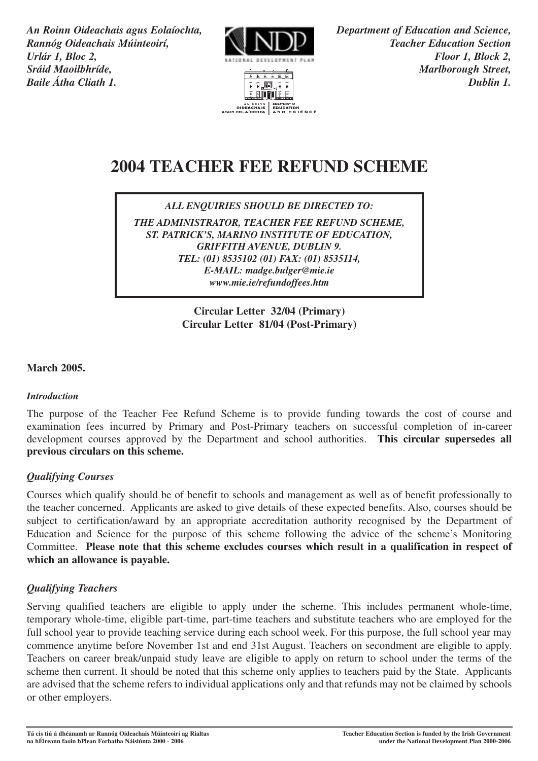*An Roinn Oideachais agus Eolaíochta, Department of Education and Science, Rannóg Oideachais Múinteoirí, NNNNN Urlár 1, Bloc 2, Floor 1, Block 2, Sráid Maoilbhríde, Marlborough Street, Baile Átha Cliath 1. Dublin 1.*





# **2004 TEACHER FEE REFUND SCHEME**

*ALL ENQUIRIES SHOULD BE DIRECTED TO:*

*THE ADMINISTRATOR, TEACHER FEE REFUND SCHEME, ST. PATRICK'S, MARINO INSTITUTE OF EDUCATION, GRIFFITH AVENUE, DUBLIN 9. TEL: (01) 8535102 (01) FAX: (01) 8535114, E-MAIL: madge.bulger@mie.ie www.mie.ie/refundoffees.htm*

> **Circular Letter 32/04 (Primary) Circular Letter 81/04 (Post-Primary)**

## **March 2005.**

## *Introduction*

The purpose of the Teacher Fee Refund Scheme is to provide funding towards the cost of course and examination fees incurred by Primary and Post-Primary teachers on successful completion of in-career development courses approved by the Department and school authorities. **This circular supersedes all previous circulars on this scheme.** 

## *Qualifying Courses*

Courses which qualify should be of benefit to schools and management as well as of benefit professionally to the teacher concerned. Applicants are asked to give details of these expected benefits. Also, courses should be subject to certification/award by an appropriate accreditation authority recognised by the Department of Education and Science for the purpose of this scheme following the advice of the scheme's Monitoring Committee. **Please note that this scheme excludes courses which result in a qualification in respect of which an allowance is payable.**

## *Qualifying Teachers*

Serving qualified teachers are eligible to apply under the scheme. This includes permanent whole-time, temporary whole-time, eligible part-time, part-time teachers and substitute teachers who are employed for the full school year to provide teaching service during each school week. For this purpose, the full school year may commence anytime before November 1st and end 31st August. Teachers on secondment are eligible to apply. Teachers on career break/unpaid study leave are eligible to apply on return to school under the terms of the scheme then current. It should be noted that this scheme only applies to teachers paid by the State. Applicants are advised that the scheme refers to individual applications only and that refunds may not be claimed by schools or other employers.